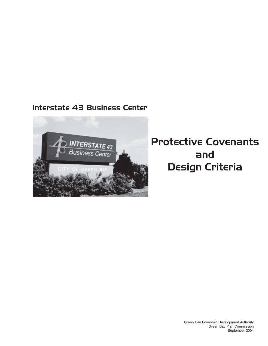## Interstate 43 Business Center



# Protective Covenants and Design Criteria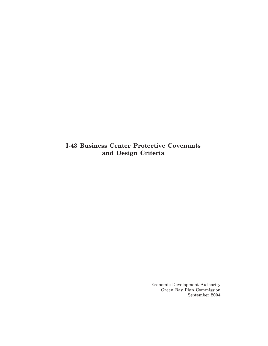**I-43 Business Center Protective Covenants and Design Criteria**

> Economic Development Authority Green Bay Plan Commission September 2004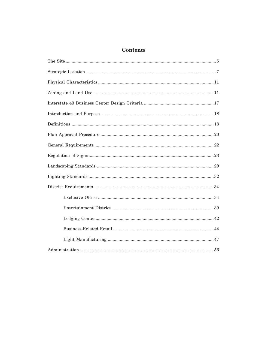## Contents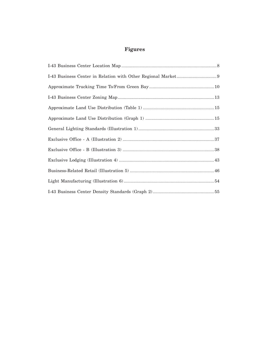## **Figures**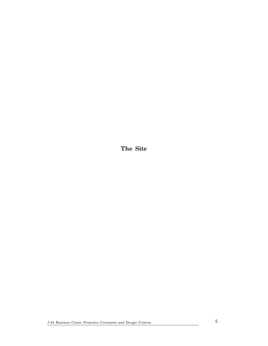**The Site**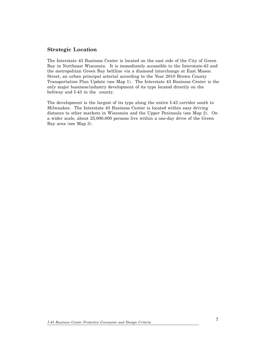#### **Strategic Location**

The Interstate 43 Business Center is located on the east side of the City of Green Bay in Northeast Wisconsin. It is immediately accessible to the Interstate-43 and the metropolitan Green Bay beltline via a diamond interchange at East Mason Street, an urban principal arterial according to the Year 2010 Brown County Transportation Plan Update (see Map 1). The Interstate 43 Business Center is the only major business/industry development of its type located directly on the beltway and I-43 in the county.

The development is the largest of its type along the entire I-43 corridor south to Milwaukee. The Interstate 43 Business Center is located within easy driving distance to other markets in Wisconsin and the Upper Peninsula (see Map 2). On a wider scale, about 25,000,000 persons live within a one-day drive of the Green Bay area (see Map 3).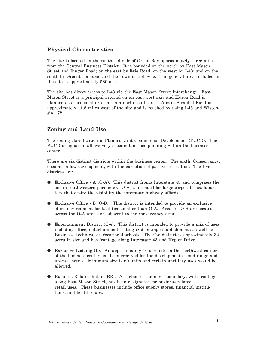## **Physical Characteristics**

The site is located on the southeast side of Green Bay approximately three miles from the Central Business District. It is bounded on the north by East Mason Street and Finger Road; on the east by Erie Road; on the west by I-43; and on the south by Greenbrier Road and the Town of Bellevue. The general area included in the site is approximately 580 acres.

The site has direct access to I-43 via the East Mason Street Interchange. East Mason Street is a principal arterial on an east-west axis and Huron Road is planned as a principal arterial on a north-south axis. Austin Straubel Field is approximately 11.5 miles west of the site and is reached by using I-43 and Wisconsin 172.

## **Zoning and Land Use**

The zoning classification is Planned Unit Commercial Development (PUCD). The PUCD designation allows very specific land use planning within the business center.

There are six distinct districts within the business center. The sixth, Conservancy, does not allow development, with the exception of passive recreation. The five districts are:

- $\bullet$  Exclusive Office A (O-A). This district fronts Interstate 43 and comprises the entire southwestern perimeter. O-A is intended for large corporate headquar ters that desire the visibility the interstate highway affords.
- $\bullet$  Exclusive Office B (O-B). This district is intended to provide an exclusive office environment for facilities smaller than O-A. Areas of O-B are located across the O-A area and adjacent to the conservancy area.
- $\bullet$  Entertainment District (O-e). This district is intended to provide a mix of uses including office, entertainment, eating & drinking establishments as well as Business, Technical or Vocational schools. The O-e district is approximately 32 acres in size and has frontage along Interstate 43 and Kepler Drive.
- l Exclusive Lodging (L). An approximately 10-acre site in the northwest corner of the business center has been reserved for the development of mid-range and upscale hotels. Minimum size is 60 units and certain ancillary uses would be allowed.
- l Business Related Retail (BR). A portion of the north boundary, with frontage along East Mason Street, has been designated for business related retail uses. These businesses include office supply stores, financial institutions, and health clubs.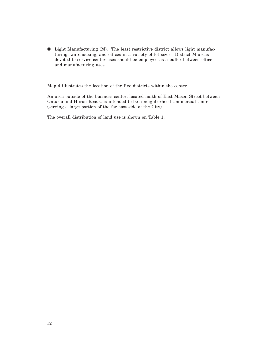$\bullet$  Light Manufacturing (M). The least restrictive district allows light manufacturing, warehousing, and offices in a variety of lot sizes. District M areas devoted to service center uses should be employed as a buffer between office and manufacturing uses.

Map 4 illustrates the location of the five districts within the center.

An area outside of the business center, located north of East Mason Street between Ontario and Huron Roads, is intended to be a neighborhood commercial center (serving a large portion of the far east side of the City).

The overall distribution of land use is shown on Table 1.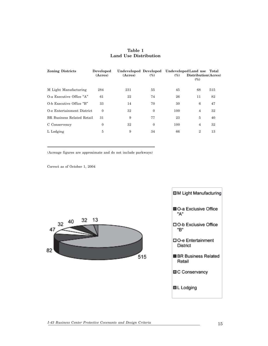#### **Table 1 Land Use Distribution**

| <b>Zoning Districts</b>    | Developed<br>(Acres) | Undeveloped Developed Undeveloped Land use Total<br>(Acres) | $(\%)$   | $\left( \% \right)$ | Distribution(Acres)<br>$(\%)$ |     |
|----------------------------|----------------------|-------------------------------------------------------------|----------|---------------------|-------------------------------|-----|
| M Light Manufacturing      | 284                  | 231                                                         | 55       | 45                  | 68                            | 515 |
| O-a Executive Office "A"   | 61                   | 22                                                          | 74       | 26                  | 11                            | 82  |
| O-b Executive Office "B"   | 33                   | 14                                                          | 70       | 30                  | 6                             | 47  |
| O-e Entertainment District | $\theta$             | 32                                                          | $\theta$ | 100                 | 4                             | 32  |
| BR Business Related Retail | 31                   | 9                                                           | 77       | 23                  | 5                             | 40  |
| C Conservency              | $\mathbf{0}$         | 32                                                          | $\theta$ | 100                 | $\overline{4}$                | 32  |
| L Lodging                  | 5                    | 9                                                           | 34       | 66                  | $\overline{2}$                | 13  |

(Acreage figures are approximate and do not include parkways)

Correct as of October 1, 2004



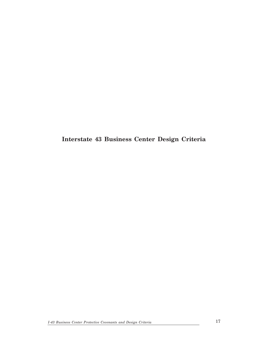**Interstate 43 Business Center Design Criteria**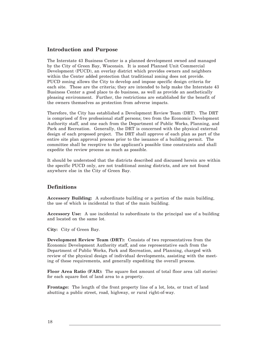#### **Introduction and Purpose**

The Interstate 43 Business Center is a planned development owned and managed by the City of Green Bay, Wisconsin. It is zoned Planned Unit Commercial Development (PUCD), an overlay district which provides owners and neighbors within the Center added protection that traditional zoning does not provide. PUCD zoning allows the City to develop and impose specific design criteria for each site. These are the criteria; they are intended to help make the Interstate 43 Business Center a good place to do business, as well as provide an aesthetically pleasing environment. Further, the restrictions are established for the benefit of the owners themselves as protection from adverse impacts.

Therefore, the City has established a Development Review Team (DRT). The DRT is comprised of five professional staff persons; two from the Economic Development Authority staff, and one each from the Department of Public Works, Planning, and Park and Recreation. Generally, the DRT is concerned with the physical external design of each proposed project. The DRT shall approve of each plan as part of the entire site plan approval process prior to the issuance of a building permit. The committee shall be receptive to the applicant's possible time constraints and shall expedite the review process as much as possible.

It should be understood that the districts described and discussed herein are within the specific PUCD only, are not traditional zoning districts, and are not found anywhere else in the City of Green Bay.

### **Definitions**

**Accessory Building:** A subordinate building or a portion of the main building, the use of which is incidental to that of the main building.

**Accessory Use:** A use incidental to subordinate to the principal use of a building and located on the same lot.

**City:** City of Green Bay.

**Development Review Team (DRT):** Consists of two representatives from the Economic Development Authority staff, and one representative each from the Department of Public Works, Park and Recreation, and Planning, charged with review of the physical design of individual developments, assisting with the meeting of these requirements, and generally expediting the overall process.

**Floor Area Ratio (FAR):** The square foot amount of total floor area (all stories) for each square foot of land area to a property.

**Frontage:** The length of the front property line of a lot, lots, or tract of land abutting a public street, road, highway, or rural right-of-way.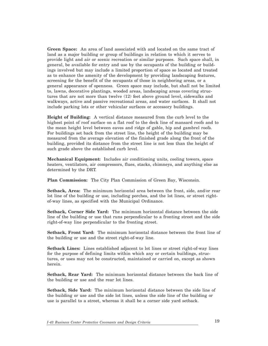**Green Space:** An area of land associated with and located on the same tract of land as a major building or group of buildings in relation to which it serves to provide light and air or scenic recreation or similar purposes. Such space shall, in general, be available for entry and use by the occupants of the building or buildings involved but may include a limited proportion of space so located and treated as to enhance the amenity of the development by providing landscaping features, screening for the benefit of the occupants of those in neighboring areas, or a general appearance of openness. Green space may include, but shall not be limited to, lawns, decorative plantings, wooded areas, landscaping areas covering structures that are not more than twelve (12) feet above ground level, sidewalks and walkways, active and passive recreational areas, and water surfaces. It shall not include parking lots or other vehicular surfaces or accessory buildings.

**Height of Building:** A vertical distance measured from the curb level to the highest point of roof surface on a flat roof to the deck line of mansard roofs and to the mean height level between eaves and ridge of gable, hip and gambrel roofs. For buildings set back from the street line, the height of the building may be measured from the average elevation of the finished grade along the front of the building, provided its distance from the street line is not less than the height of such grade above the established curb level.

**Mechanical Equipment:** Includes air conditioning units, cooling towers, space heaters, ventilators, air compressors, flues, stacks, chimneys, and anything else as determined by the DRT.

**Plan Commission:** The City Plan Commission of Green Bay, Wisconsin.

**Setback, Area:** The minimum horizontal area between the front, side, and/or rear lot line of the building or use, including porches, and the lot lines, or street rightof-way lines, as specified with the Municipal Ordinance.

**Setback, Corner Side Yard:** The minimum horizontal distance between the side line of the building or use that runs perpendicular to a fronting street and the side right-of-way line perpendicular to the fronting street.

**Setback, Front Yard:** The minimum horizontal distance between the front line of the building or use and the street right-of-way line.

**Setback Lines:** Lines established adjacent to lot lines or street right-of-way lines for the purpose of defining limits within which any or certain buildings, structures, or uses may not be constructed, maintained or carried on, except as shown herein.

**Setback, Rear Yard:** The minimum horizontal distance between the back line of the building or use and the rear lot lines.

**Setback, Side Yard:** The minimum horizontal distance between the side line of the building or use and the side lot lines, unless the side line of the building or use is parallel to a street, whereas it shall be a corner side yard setback.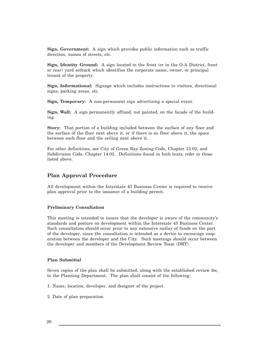**Sign, Government:** A sign which provides public information such as traffic direction, names of streets, etc.

**Sign, Identity Ground:** A sign located in the front (or in the O-A District, front or rear) yard setback which identifies the corporate name, owner, or principal tenant of the property.

**Sign, Informational:** Signage which includes instructions to visitors, directional signs, parking areas, etc.

**Sign, Temporary:** A non-permanent sign advertising a special event.

**Sign, Wall:** A sign permanently affixed, not painted, on the facade of the building.

**Story:** That portion of a building included between the surface of any floor and the surface of the floor next above it, or if there is no floor above it, the space between such floor and the ceiling next above it.

For other definitions, see City of Green Bay Zoning Code, Chapter 13.02, and Subdivision Code, Chapter 14.02. Definitions found in both texts; refer to those listed above.

#### **Plan Approval Procedure**

All development within the Interstate 43 Business Center is required to receive plan approval prior to the issuance of a building permit.

#### **Preliminary Consultation**

This meeting is intended to insure that the developer is aware of the community's standards and posture on development within the Interstate 43 Business Center. Such consultation should occur prior to any extensive outlay of funds on the part of the developer, since the consultation is intended as a device to encourage cooperation between the developer and the City. Such meetings should occur between the developer and members of the Development Review Team (DRT).

#### **Plan Submittal**

Seven copies of the plan shall be submitted, along with the established review fee, to the Planning Department. The plan shall consist of the following:

- 1. Name, location, developer, and designer of the project.
- 2. Date of plan preparation.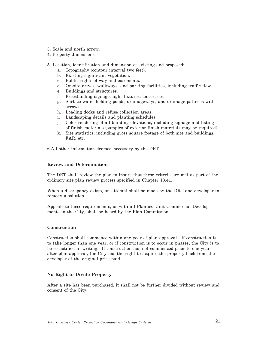- 3. Scale and north arrow.
- 4. Property dimensions.
- 5. Location, identification and dimension of existing and proposed:
	- a. Topography (contour interval two feet).
	- b. Existing significant vegetation.
	- c. Public rights-of-way and easements.
	- d. On-site drives, walkways, and parking facilities, including traffic flow.
	- e. Buildings and structures.
	- f. Freestanding signage, light fixtures, fences, etc.
	- g. Surface water holding ponds, drainageways, and drainage patterns with arrows.
	- h. Loading docks and refuse collection areas.
	- i. Landscaping details and planting schedules.
	- j. Color rendering of all building elevations, including signage and listing of finish materials (samples of exterior finish materials may be required).
	- k. Site statistics, including gross square footage of both site and buildings, FAR, etc.

6.All other information deemed necessary by the DRT.

#### **Review and Determination**

The DRT shall review the plan to insure that these criteria are met as part of the ordinary site plan review process specified in Chapter 13.41.

When a discrepancy exists, an attempt shall be made by the DRT and developer to remedy a solution.

Appeals to these requirements, as with all Planned Unit Commercial Developments in the City, shall be heard by the Plan Commission.

#### **Construction**

Construction shall commence within one year of plan approval. If construction is to take longer than one year, or if construction is to occur in phases, the City is to be so notified in writing. If construction has not commenced prior to one year after plan approval, the City has the right to acquire the property back from the developer at the original price paid.

#### **No Right to Divide Property**

After a site has been purchased, it shall not be further divided without review and consent of the City.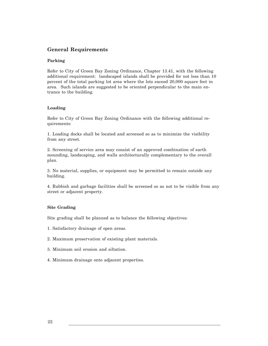## **General Requirements**

#### **Parking**

Refer to City of Green Bay Zoning Ordinance, Chapter 13.41, with the following additional requirement: landscaped islands shall be provided for not less than 10 percent of the total parking lot area where the lots exceed 20,000 square feet in area. Such islands are suggested to be oriented perpendicular to the main entrance to the building.

#### **Loading**

Refer to City of Green Bay Zoning Ordinance with the following additional requirements:

1. Loading docks shall be located and screened so as to minimize the visibility from any street.

2. Screening of service area may consist of an approved combination of earth mounding, landscaping, and walls architecturally complementary to the overall plan.

3. No material, supplies, or equipment may be permitted to remain outside any building.

4. Rubbish and garbage facilities shall be screened so as not to be visible from any street or adjacent property.

#### **Site Grading**

Site grading shall be planned as to balance the following objectives:

1. Satisfactory drainage of open areas.

2. Maximum preservation of existing plant materials.

- 3. Minimum soil erosion and siltation.
- 4. Minimum drainage onto adjacent properties.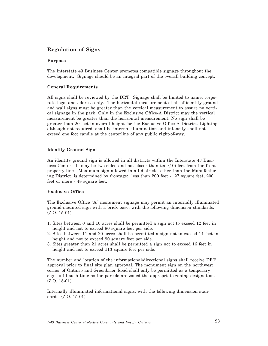## **Regulation of Signs**

#### **Purpose**

The Interstate 43 Business Center promotes compatible signage throughout the development. Signage should be an integral part of the overall building concept.

#### **General Requirements**

All signs shall be reviewed by the DRT. Signage shall be limited to name, corporate logo, and address only. The horizontal measurement of all of identity ground and wall signs must be greater than the vertical measurement to assure no vertical signage in the park. Only in the Exclusive Office-A District may the vertical measurement be greater than the horizontal measurement. No sign shall be greater than 20 feet in overall height for the Exclusive Office-A District. Lighting, although not required, shall be internal illumination and intensity shall not exceed one foot candle at the centerline of any public right-of-way.

#### **Identity Ground Sign**

An identity ground sign is allowed in all districts within the Interstate 43 Business Center. It may be two-sided and not closer than ten (10) feet from the front property line. Maximum sign allowed in all districts, other than the Manufacturing District, is determined by frontage: less than 200 feet - 27 square feet; 200 feet or more - 48 square feet.

#### **Exclusive Office**

The Exclusive Office "A" monument signage may permit an internally illuminated ground-mounted sign with a brick base, with the following dimension standards: (Z.O. 15-01)

- 1. Sites between 0 and 10 acres shall be permitted a sign not to exceed 12 feet in height and not to exceed 80 square feet per side.
- 2. Sites between 11 and 20 acres shall be permitted a sign not to exceed 14 feet in height and not to exceed 90 square feet per side.
- 3. Sites greater than 21 acres shall be permitted a sign not to exceed 16 feet in height and not to exceed 113 square feet per side.

The number and location of the informational/directional signs shall receive DRT approval prior to final site plan approval. The monument sign on the northwest corner of Ontario and Greenbrier Road shall only be permitted as a temporary sign until such time as the parcels are zoned the appropriate zoning designation. (Z.O. 15-01)

Internally illuminated informational signs, with the following dimension standards: (Z.O. 15-01)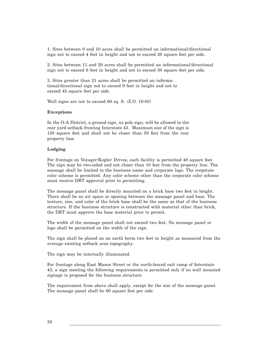1. Sites between 0 and 10 acres shall be permitted an informational/directional sign not to exceed 4 feet in height and not to exceed 20 square feet per side.

2. Sites between 11 and 20 acres shall be permitted an informational/directional sign not to exceed 6 feet in height and not to exceed 30 square feet per side.

3. Sites greater than 21 acres shall be permitted an informational/directional sign not to exceed 9 feet in height and not to exceed 45 square feet per side.

Wall signs are not to exceed 60 sq. ft. (Z.O. 10-02)

#### **Exceptions**

In the O-A District, a ground sign, no pole sign, will be allowed in the rear yard setback fronting Interstate 43. Maximum size of the sign is 150 square feet and shall not be closer than 50 feet from the rear property line.

#### **Lodging**

For frontage on Voyager/Kepler Drives, each facility is permitted 48 square feet. The sign may be two-sided and not closer than 10 feet from the property line. The message shall be limited to the business name and corporate logo. The corporate color scheme is permitted. Any color scheme other than the corporate color scheme must receive DRT approval prior to permitting.

The message panel shall be directly mounted on a brick base two feet in height. There shall be no air space or opening between the message panel and base. The texture, size, and color of the brick base shall be the same as that of the business structure. If the business structure is constructed with material other than brick, the DRT must approve the base material prior to permit.

The width of the message panel shall not exceed two feet. No message panel or logo shall be permitted on the width of the sign.

The sign shall be placed on an earth berm two feet in height as measured from the average existing setback area topography.

The sign may be internally illuminated.

For frontage along East Mason Street or the north-bound exit ramp of Interstate 43, a sign meeting the following requirements is permitted only if no wall mounted signage is proposed for the business structure.

The requirement from above shall apply, except for the size of the message panel. The message panel shall be 60 square feet per side.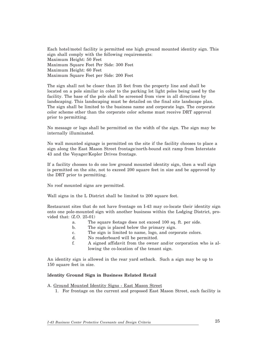Each hotel/motel facility is permitted one high ground mounted identity sign. This sign shall comply with the following requirements: Maximum Height: 50 Feet Maximum Square Feet Per Side: 300 Feet Maximum Height: 60 Feet Maximum Square Feet per Side: 200 Feet

The sign shall not be closer than 25 feet from the property line and shall be located on a pole similar in color to the parking lot light poles being used by the facility. The base of the pole shall be screened from view in all directions by landscaping. This landscaping must be detailed on the final site landscape plan. The sign shall be limited to the business name and corporate logo. The corporate color scheme other than the corporate color scheme must receive DRT approval prior to permitting.

No message or logo shall be permitted on the width of the sign. The sign may be internally illuminated.

No wall mounted signage is permitted on the site if the facility chooses to place a sign along the East Mason Street frontage/north-bound exit ramp from Interstate 43 and the Voyager/Kepler Drives frontage.

If a facility chooses to do one low ground mounted identity sign, then a wall sign is permitted on the site, not to exceed 200 square feet in size and be approved by the DRT prior to permitting.

No roof mounted signs are permitted.

Wall signs in the L District shall be limited to 200 square feet.

Restaurant sites that do not have frontage on I-43 may co-locate their identity sign onto one pole-mounted sign with another business within the Lodging District, provided that: (Z.O. 25-01)

- a. The square footage does not exceed 100 sq. ft. per side.
	- b. The sign is placed below the primary sign.
	- c. The sign is limited to name, logo, and corporate colors.
- d. No readerboard will be permitted.
- f. A signed affidavit from the owner and/or corporation who is allowing the co-location of the tenant sign.

An identity sign is allowed in the rear yard setback. Such a sign may be up to 150 square feet in size.

#### I**dentity Ground Sign in Business Related Retail**

A. Ground Mounted Identity Signs - East Mason Street

1. For frontage on the current and proposed East Mason Street, each facility is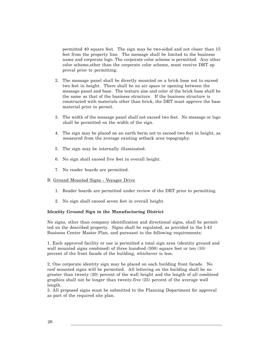permitted 40 square feet. The sign may be two-sided and not closer than 15 feet from the property line. The message shall be limited to the business name and corporate logo. The corporate color scheme is permitted. Any other color scheme,other than the corporate color scheme, must receive DRT ap proval prior to permitting.

- 2. The message panel shall be directly mounted on a brick base not to exceed two feet in height. There shall be no air space or opening between the message panel and base. The texture size and color of the brick base shall be the same as that of the business structure. If the business structure is constructed with materials other than brick, the DRT must approve the base material prior to permit.
- 3. The width of the message panel shall not exceed two feet. No message or logo shall be permitted on the width of the sign.
- 4. The sign may be placed on an earth berm not to exceed two feet in height, as measured from the average existing setback area topography.
- 5. The sign may be internally illuminated.
- 6. No sign shall exceed five feet in overall height.
- 7. No reader boards are permitted.

#### B. Ground Mounted Signs - Voyager Drive

- 1. Reader boards are permitted under review of the DRT prior to permitting.
- 2. No sign shall exceed seven feet in overall height.

#### **Identity Ground Sign in the Manufacturing District**

No signs, other than company identification and directional signs, shall be permitted on the described property. Signs shall be regulated, as provided in the I-43 Business Center Master Plan, and pursuant to the following requirements:

1. Each approved facility or use is permitted a total sign area (identity ground and wall mounted signs combined) of three hundred (300) square feet or ten (10) percent of the front facade of the building, whichever is less.

2. One corporate identity sign may be placed on each building front facade. No roof mounted signs will be permitted. All lettering on the building shall be no greater than twenty (20) percent of the wall height and the length of all combined graphics shall not be longer than twenty-five (25) percent of the average wall length.

3. All proposed signs must be submitted to the Planning Department for approval as part of the required site plan.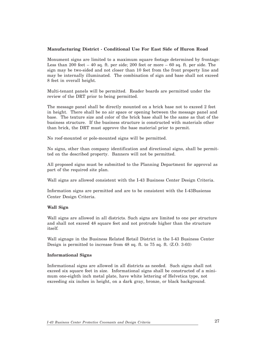#### **Manufacturing District - Conditional Use For East Side of Huron Road**

Monument signs are limited to a maximum square footage determined by frontage: Less than 200 feet – 40 sq. ft. per side; 200 feet or more – 60 sq. ft. per side. The sign may be two-sided and not closer than 10 feet from the front property line and may be internally illuminated. The combination of sign and base shall not exceed 8 feet in overall height.

Multi-tenant panels will be permitted. Reader boards are permitted under the review of the DRT prior to being permitted.

The message panel shall be directly mounted on a brick base not to exceed 2 feet in height. There shall be no air space or opening between the message panel and base. The texture size and color of the brick base shall be the same as that of the business structure. If the business structure is constructed with materials other than brick, the DRT must approve the base material prior to permit.

No roof-mounted or pole-mounted signs will be permitted.

No signs, other than company identification and directional signs, shall be permitted on the described property. Banners will not be permitted.

All proposed signs must be submitted to the Planning Department for approval as part of the required site plan.

Wall signs are allowed consistent with the I-43 Business Center Design Criteria.

Information signs are permitted and are to be consistent with the I-43Busienss Center Design Criteria.

#### **Wall Sign**

Wall signs are allowed in all districts. Such signs are limited to one per structure and shall not exceed 48 square feet and not protrude higher than the structure itself.

Wall signage in the Business Related Retail District in the I-43 Business Center Design is permitted to increase from 48 sq. ft. to 75 sq. ft. (Z.O. 3-03)

#### **Informational Signs**

Informational signs are allowed in all districts as needed. Such signs shall not exceed six square feet in size. Informational signs shall be constructed of a minimum one-eighth inch metal plate, have white lettering of Helvetica type, not exceeding six inches in height, on a dark gray, bronze, or black background.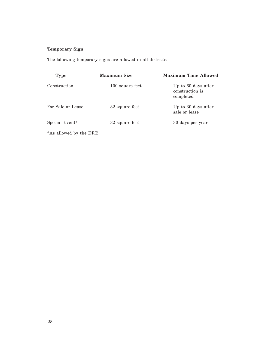## **Temporary Sign**

The following temporary signs are allowed in all districts:

| <b>Type</b>             | <b>Maximum Size</b> | <b>Maximum Time Allowed</b>                         |  |  |  |
|-------------------------|---------------------|-----------------------------------------------------|--|--|--|
| Construction            | 100 square feet     | Up to 60 days after<br>construction is<br>completed |  |  |  |
| For Sale or Lease       | 32 square feet      | Up to 30 days after<br>sale or lease                |  |  |  |
| Special Event*          | 32 square feet      | 30 days per year                                    |  |  |  |
| *As allowed by the DRT. |                     |                                                     |  |  |  |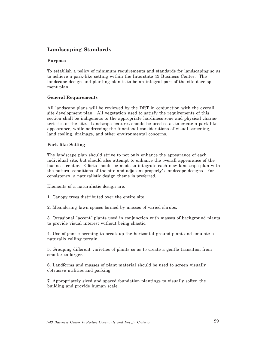## **Landscaping Standards**

#### **Purpose**

To establish a policy of minimum requirements and standards for landscaping so as to achieve a park-like setting within the Interstate 43 Business Center. The landscape design and planting plan is to be an integral part of the site development plan.

#### **General Requirements**

All landscape plans will be reviewed by the DRT in conjunction with the overall site development plan. All vegetation used to satisfy the requirements of this section shall be indigenous to the appropriate hardiness zone and physical characteristics of the site. Landscape features should be used so as to create a park-like appearance, while addressing the functional considerations of visual screening, land cooling, drainage, and other environmental concerns.

#### **Park-like Setting**

The landscape plan should strive to not only enhance the appearance of each individual site, but should also attempt to enhance the overall appearance of the business center. Efforts should be made to integrate each new landscape plan with the natural conditions of the site and adjacent property's landscape designs. For consistency, a naturalistic design theme is preferred.

Elements of a naturalistic design are:

- 1. Canopy trees distributed over the entire site.
- 2. Meandering lawn spaces formed by masses of varied shrubs.

3. Occasional "accent" plants used in conjunction with masses of background plants to provide visual interest without being chaotic.

4. Use of gentle berming to break up the horizontal ground plant and emulate a naturally rolling terrain.

5. Grouping different varieties of plants so as to create a gentle transition from smaller to larger.

6. Landforms and masses of plant material should be used to screen visually obtrusive utilities and parking.

7. Appropriately sized and spaced foundation plantings to visually soften the building and provide human scale.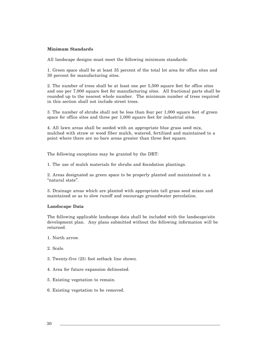#### **Minimum Standards**

All landscape designs must meet the following minimum standards:

1. Green space shall be at least 35 percent of the total lot area for office sites and 30 percent for manufacturing sites.

2. The number of trees shall be at least one per 5,500 square feet for office sites and one per 7,000 square feet for manufacturing sites. All fractional parts shall be rounded up to the nearest whole number. The minimum number of trees required in this section shall not include street trees.

3. The number of shrubs shall not be less than four per 1,000 square feet of green space for office sites and three per 1,000 square feet for industrial sites.

4. All lawn areas shall be seeded with an appropriate blue grass seed mix, mulched with straw or wood fiber mulch, watered, fertilized and maintained to a point where there are no bare areas greater than three feet square.

The following exceptions may be granted by the DRT:

1. The use of mulch materials for shrubs and foundation plantings.

2. Areas designated as green space to be properly planted and maintained in a "natural state".

3. Drainage areas which are planted with appropriate tall grass seed mixes and maintained so as to slow runoff and encourage groundwater percolation.

#### **Landscape Data**

The following applicable landscape data shall be included with the landscape/site development plan. Any plans submitted without the following information will be returned.

- 1. North arrow.
- 2. Scale.
- 3. Twenty-five (25) foot setback line shown.
- 4. Area for future expansion delineated.
- 5. Existing vegetation to remain.
- 6. Existing vegetation to be removed.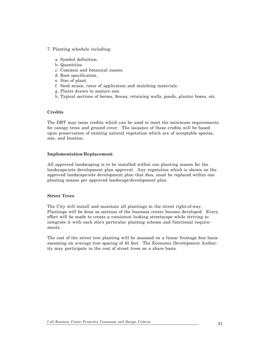- 7. Planting schedule including:
	- a. Symbol definition.
	- b. Quantities.
	- c. Common and botanical names.
	- d. Root specification.
	- e. Size of plant.
	- f. Seed mixes, rates of application and mulching materials.
	- g. Plants drawn to mature size.
	- h. Typical sections of berms, fences, retaining walls, ponds, planter boxes, etc.

#### **Credits**

The DRT may issue credits which can be used to meet the minimum requirements for canopy trees and ground cover. The issuance of these credits will be based upon preservation of existing natural vegetation which are of acceptable species, size, and location.

#### **Implementation/Replacement**

All approved landscaping is to be installed within one planting season for the landscape/site development plan approval. Any vegetation which is shown on the approved landscape/site development plan that dies, must be replaced within one planting season per approved landscape/development plan.

#### **Street Trees**

The City will install and maintain all plantings in the street right-of-way. Plantings will be done as sections of the business center become developed. Every effort will be made to create a consistent looking streetscape while striving to integrate it with each site's particular planting scheme and functional requirements.

The cost of the street tree planting will be assessed on a linear frontage foot basis assuming an average tree spacing of 45 feet. The Economic Development Authority may participate in the cost of street trees on a share basis.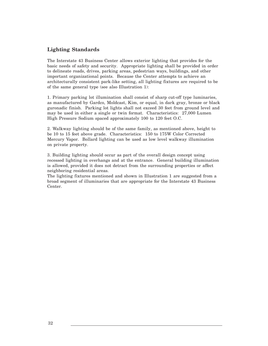## **Lighting Standards**

The Interstate 43 Business Center allows exterior lighting that provides for the basic needs of safety and security. Appropriate lighting shall be provided in order to delineate roads, drives, parking areas, pedestrian ways, buildings, and other important organizational points. Because the Center attempts to achieve an architecturally consistent park-like setting, all lighting fixtures are required to be of the same general type (see also Illustration 1):

1. Primary parking lot illumination shall consist of sharp cut-off type luminaries, as manufactured by Gardco, Moldcast, Kim, or equal, in dark gray, bronze or black guronadic finish. Parking lot lights shall not exceed 30 feet from ground level and may be used in either a single or twin format. Characteristics: 27,000 Lumen High Pressure Sodium spaced approximately 100 to 120 feet O.C.

2. Walkway lighting should be of the same family, as mentioned above, height to be 10 to 15 feet above grade. Characteristics: 150 to 175W Color Corrected Mercury Vapor. Bollard lighting can be used as low level walkway illumination on private property.

3. Building lighting should occur as part of the overall design concept using recessed lighting in overhangs and at the entrance. General building illumination is allowed, provided it does not detract from the surrounding properties or affect neighboring residential areas.

The lighting fixtures mentioned and shown in Illustration 1 are suggested from a broad segment of illuminaries that are appropriate for the Interstate 43 Business Center.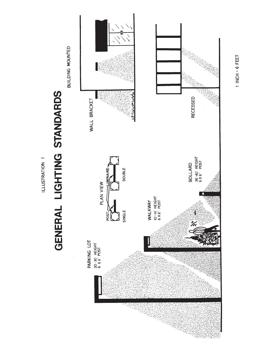

1 INCH = 6 FEET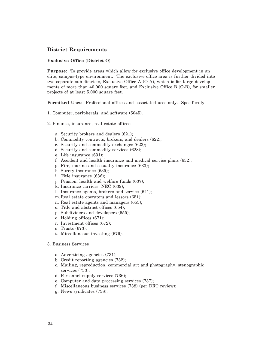#### **District Requirements**

#### **Exclusive Office (District O)**

**Purpose:** To provide areas which allow for exclusive office development in an elite, campus-type environment. The exclusive office area is further divided into two separate sub-districts, Exclusive Office A (O-A), which is for large developments of more than 40,000 square feet, and Exclusive Office B (O-B), for smaller projects of at least 5,000 square feet.

**Permitted Uses:** Professional offices and associated uses only. Specifically:

- 1. Computer, peripherals, and software (5045).
- 2. Finance, insurance, real estate offices:
	- a. Security brokers and dealers (621);
	- b. Commodity contracts, brokers, and dealers (622);
	- c. Security and commodity exchanges (623);
	- d. Security and commodity services (628);
	- e. Life insurance (631);
	- f. Accident and health insurance and medical service plans (632);
	- g. Fire, marine and casualty insurance (633);
	- h. Surety insurance (635);
	- i. Title insurance (636);
	- j. Pension, health and welfare funds (637);
	- k. Insurance carriers, NEC (639);
	- l. Insurance agents, brokers and service (641);
	- m.Real estate operators and lessors (651);
	- n. Real estate agents and managers (653);
	- o. Title and abstract offices (654);
	- p. Subdividers and developers (655);
	- q. Holding offices (671);
	- r. Investment offices (672);
	- s Trusts (673);
	- t. Miscellaneous investing (679).
- 3. Business Services
	- a. Advertising agencies (731);
	- b. Credit reporting agencies (732);
	- c. Mailing, reproduction, commercial art and photography, stenographic services (733);
	- d. Personnel supply services (736);
	- e. Computer and data processing services (737);
	- f. Miscellaneous business services (738) (per DRT review);
	- g. News syndicates (738);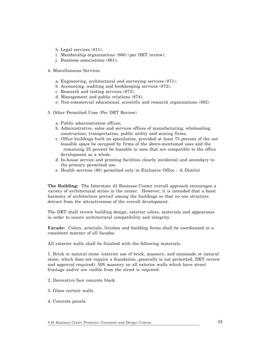- h. Legal services (811);
- i. Membership organizations (860) (per DRT review);
- j. Business associations (861);
- 4. Miscellaneous Services
	- a. Engineering, architectural and surveying services (871);
	- b. Accounting, auditing and bookkeeping services (872);
	- c. Research and testing services (873);
	- d. Management and public relations (874);
	- e. Non-commercial educational, scientific and research organizations (892).
- 5. Other Permitted Uses (Per DRT Review)
	- a. Public administration offices;
	- b. Administrative, sales and services offices of manufacturing, wholesaling, construction, transportation, public utility and mining firms;
	- c. Office buildings built on speculation, provided at least 75 percent of the net leasable space be occupied by firms of the above-mentioned uses and the remaining 25 percent be leasable to uses that are compatible to the office development as a whole.
	- d. In-house service and printing facilities clearly incidental and secondary to the primary permitted use.
	- e. Health services (80) permitted only in Exclusive Office A District

**The Building:** The Interstate 43 Business Center overall approach encourages a variety of architectural styles in the center. However, it is intended that a basic harmony of architecture prevail among the buildings so that no one structure detract from the attractiveness of the overall development.

The DRT shall review building design, exterior colors, materials and appearance in order to insure architectural compatibility and integrity.

**Facade:** Colors, arterials, finishes and building forms shall be coordinated in a consistent manner of all facades.

All exterior walls shall be finished with the following materials:

1. Brick or natural stone (exterior use of brick, masonry, and manmade or natural stone, which does not require a foundation, generally is not permitted, DRT review and approval required). 50% masonry on all exterior walls which have street frontage and/or are visible from the street is required.

- 2. Decorative face concrete block.
- 3. Glass curtain walls.
- 4. Concrete panels.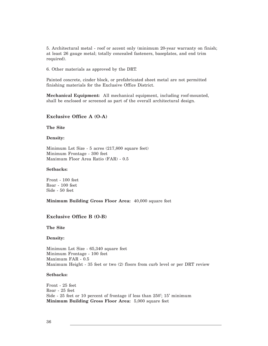5. Architectural metal - roof or accent only (minimum 20-year warranty on finish; at least 26 gauge metal; totally concealed fasteners, baseplates, and end trim required).

6. Other materials as approved by the DRT.

Painted concrete, cinder block, or prefabricated sheet metal are not permitted finishing materials for the Exclusive Office District.

**Mechanical Equipment:** All mechanical equipment, including roof-mounted, shall be enclosed or screened as part of the overall architectural design.

#### **Exclusive Office A (O-A)**

**The Site**

#### **Density:**

Minimum Lot Size - 5 acres (217,800 square feet) Minimum Frontage - 300 feet Maximum Floor Area Ratio (FAR) - 0.5

#### **Setbacks:**

Front - 100 feet Rear - 100 feet Side - 50 feet

**Minimum Building Gross Floor Area:** 40,000 square feet

#### **Exclusive Office B (O-B)**

**The Site**

**Density:**

Minimum Lot Size - 65,340 square feet Minimum Frontage - 100 feet Maximum FAR - 0.5 Maximum Height - 35 feet or two (2) floors from curb level or per DRT review

#### **Setbacks:**

Front - 25 feet Rear - 25 feet Side - 25 feet or 10 percent of frontage if less than 250'; 15' minimum **Minimum Building Gross Floor Area:** 5,000 square feet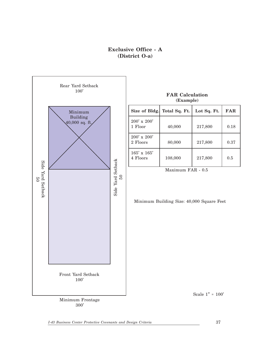## **Exclusive Office - A (District O-a)**

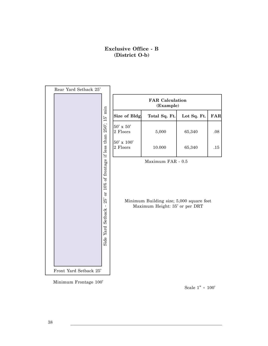## **Exclusive Office - B (District O-b)**



Minimum Frontage 100'

Scale 1" = 100'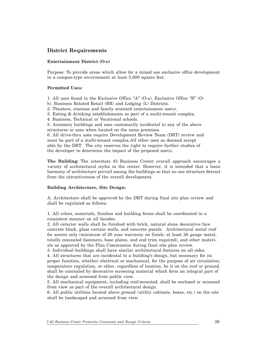## **District Requirements**

#### **Entertainment District (O-e)**

Purpose: To provide areas which allow for a mixed use exclusive office development in a campus-type environment at least 5,000 square feet.

#### **Permitted Uses:**

- 1. All uses found in the Exclusive Office "A" (O-a), Exclusive Office "B" (O-
- b), Business Related Retail (BR) and Lodging (L) Districts.
- 2. Theaters, cinemas and family oriented entertainment use(s).
- 3. Eating & drinking establishments as part of a multi-tenant complex.
- 4. Business, Technical or Vocational schools.
- 5. Accessory buildings and uses customarily incidental to any of the above structures or uses when located on the same premises.

6. All drive-thru uses require Development Review Team (DRT) review and must be part of a multi-tenant complex.All other uses as deemed accept able by the DRT. The city reserves the right to require further studies of the developer to determine the impact of the proposed use(s).

**The Building:** The interstate 43 Business Center overall approach encourages a variety of architectural styles in the center. However, it is intended that a basic harmony of architecture prevail among the buildings so that no one structure detract from the attractiveness of the overall development.

#### **Building Architecture, Site Design:**

A. Architecture shall be approved by the DRT during final site plan review and shall be regulated as follows:

1. All colors, materials, finishes and building forms shall be coordinated in a consistent manner on all facades.

2. All exterior walls shall be finished with brick, natural stone decorative face concrete block, glass curtain walls, and concrete panels. Architectural metal roof for accent only (minimum of 20 year warranty on finish; at least 26 gauge metal, totally concealed fasteners, base plates, and end trim required), and other materials as approved by the Plan Commission during final site plan review.

3. Individual buildings shall have similar architectural features on all sides. 4. All structures that are incidental to a building's design, but necessary for its proper function, whether electrical or mechanical, for the purpose of air circulation, temperature regulation, or other, regardless of location, be it on the roof or ground, shall be concealed by decorative screening material which form an integral part of the design and screened from public view.

5. All mechanical equipment, including roof-mounted, shall be enclosed or screened from view as part of the overall architectural design.

6. All public utilities located above ground (utility cabinets, boxes, etc.) on the site shall be landscaped and screened from view.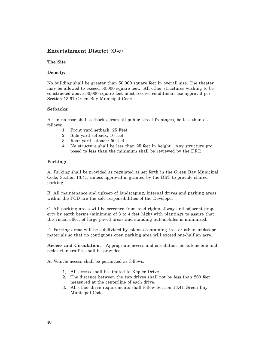## **Entertainment District (O-e)**

#### **The Site**

#### **Density:**

No building shall be greater than 50,000 square feet in overall size. The theater may be allowed to exceed 50,000 square feet. All other structures wishing to be constructed above 50,000 square feet must receive conditional use approval per Section 13.61 Green Bay Municipal Code.

#### **Setbacks:**

A. In no case shall setbacks, from all public street frontages, be less than as follows:

- 1. Front yard setback: 25 Feet
- 2. Side yard setback: 10 feet
- 3. Rear yard setback: 50 feet
- 4. No structure shall be less than 25 feet in height. Any structure pro posed to less than the minimum shall be reviewed by the DRT.

#### **Parking:**

A. Parking shall be provided as regulated as set forth in the Green Bay Municipal Code, Section 13.41, unless approval is granted by the DRT to provide shared parking.

B. All maintenance and upkeep of landscaping, internal drives and parking areas within the PCD are the sole responsibilities of the Developer.

C. All parking areas will be screened from road rights-of-way and adjacent property by earth berms (minimum of 3 to 4 feet high) with plantings to assure that the visual effect of large paved areas and standing automobiles is minimized.

D. Parking areas will be subdivided by islands containing tree or other landscape materials so that no contiguous open parking area will exceed one-half an acre.

**Access and Circulation.** Appropriate access and circulation for automobile and pedestrian traffic, shall be provided.

A. Vehicle access shall be permitted as follows:

- 1, All access shall be limited to Kepler Drive.
- 2. The distance between the two drives shall not be less than 200 feet measured at the centerline of each drive.
- 3. All other drive requirements shall follow Section 13.41 Green Bay Municipal Code.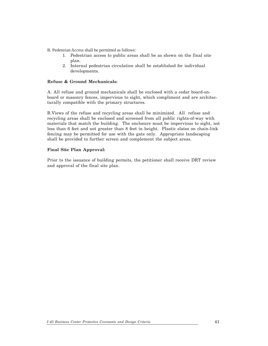B. Pedestrian Access shall be permitted as follows:

- 1. Pedestrian access to public areas shall be as shown on the final site plan.
- 2. Internal pedestrian circulation shall be established for individual developments.

#### **Refuse & Ground Mechanicals:**

A. All refuse and ground mechanicals shall be enclosed with a cedar board-onboard or masonry fences, impervious to sight, which compliment and are architecturally compatible with the primary structures.

B.Views of the refuse and recycling areas shall be minimized. All refuse and recycling areas shall be enclosed and screened from all public rights-of-way with materials that match the building. The enclosure must be impervious to sight, not less than 6 feet and not greater than 8 feet in height. Plastic slates on chain-link fencing may be permitted for use with the gate only. Appropriate landscaping shall be provided to further screen and complement the subject areas.

#### **Final Site Plan Approval:**

Prior to the issuance of building permits, the petitioner shall receive DRT review and approval of the final site plan.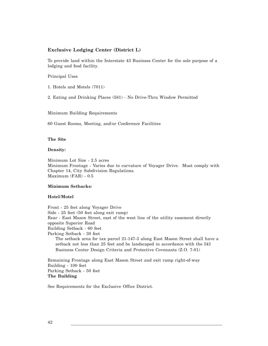#### **Exclusive Lodging Center (District L)**

To provide land within the Interstate 43 Business Center for the sole purpose of a lodging and food facility.

Principal Uses

1. Hotels and Motels (7011)

2. Eating and Drinking Places (581) - No Drive-Thru Window Permitted

Minimum Building Requirements

60 Guest Rooms, Meeting, and/or Conference Facilities

**The Site**

**Density:**

Minimum Lot Size - 2.5 acres Minimum Frontage - Varies due to curvature of Voyager Drive. Must comply with Chapter 14, City Subdivision Regulations. Maximum (FAR) - 0.5

#### **Minimum Setbacks:**

#### **Hotel/Motel**

Front - 25 feet along Voyager Drive Side - 25 feet (50 feet along exit ramp) Rear - East Mason Street, east of the west line of the utility easement directly opposite Superior Road Building Setback - 60 feet Parking Setback - 30 feet The setback area for tax parcel 21-147-3 along East Mason Street shall have a setback not less than 25 feet and be landscaped in accordance with the I43 Business Center Design Criteria and Protective Covenants (Z.O. 7-01)

Remaining Frontage along East Mason Street and exit ramp right-of-way Building - 100 feet Parking Setback - 50 feet **The Building**

See Requirements for the Exclusive Office District.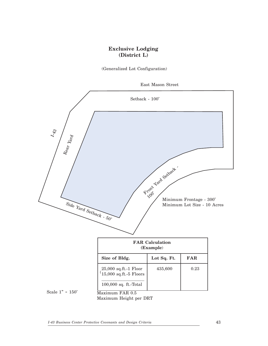## **Exclusive Lodging (District L)**

(Generalized Lot Configuration)





Maximum Height per DRT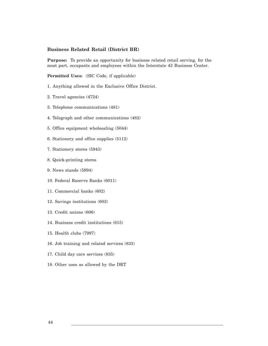#### **Business Related Retail (District BR)**

**Purpose:** To provide an opportunity for business related retail serving, for the most part, occupants and employees within the Interstate 43 Business Center.

**Permitted Uses:** (SIC Code, if applicable)

- 1. Anything allowed in the Exclusive Office District.
- 2. Travel agencies (4724)
- 3. Telephone communications (481)
- 4. Telegraph and other communications (482)
- 5. Office equipment wholesaling (5044)
- 6. Stationery and office supplies (5112)
- 7. Stationery stores (5943)
- 8. Quick-printing stores
- 9. News stands (5994)
- 10. Federal Reserve Banks (6011)
- 11. Commercial banks (602)
- 12. Savings institutions (603)
- 13. Credit unions (606)
- 14. Business credit institutions (615)
- 15. Health clubs (7997)
- 16. Job training and related services (833)
- 17. Child day care services (835)
- 18. Other uses as allowed by the DRT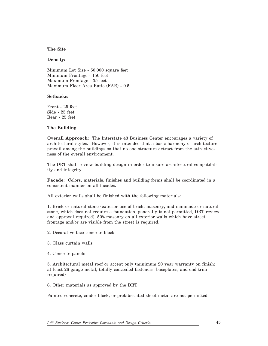#### **The Site**

#### **Density:**

Minimum Lot Size - 50,000 square feet Minimum Frontage - 150 feet Maximum Frontage - 35 feet Maximum Floor Area Ratio (FAR) - 0.5

#### **Setbacks:**

Front - 25 feet Side - 25 feet Rear - 25 feet

#### **The Building**

**Overall Approach:** The Interstate 43 Business Center encourages a variety of architectural styles. However, it is intended that a basic harmony of architecture prevail among the buildings so that no one structure detract from the attractiveness of the overall environment.

The DRT shall review building design in order to insure architectural compatibility and integrity.

**Facade:** Colors, materials, finishes and building forms shall be coordinated in a consistent manner on all facades.

All exterior walls shall be finished with the following materials:

1. Brick or natural stone (exterior use of brick, masonry, and manmade or natural stone, which does not require a foundation, generally is not permitted, DRT review and approval required). 50% masonry on all exterior walls which have street frontage and/or are visible from the street is required.

- 2. Decorative face concrete block
- 3. Glass curtain walls
- 4. Concrete panels

5. Architectural metal roof or accent only (minimum 20 year warranty on finish; at least 26 gauge metal, totally concealed fasteners, baseplates, and end trim required)

6. Other materials as approved by the DRT

Painted concrete, cinder block, or prefabricated sheet metal are not permitted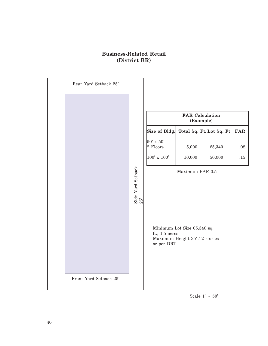## **Business-Related Retail (District BR)**



Scale  $1" = 50'$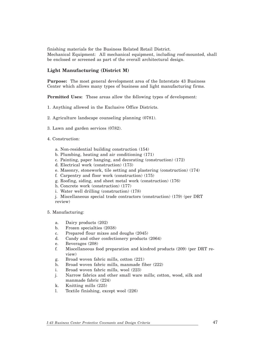finishing materials for the Business Related Retail District. Mechanical Equipment: All mechanical equipment, including roof-mounted, shall be enclosed or screened as part of the overall architectural design.

#### **Light Manufacturing (District M)**

**Purpose:** The most general development area of the Interstate 43 Business Center which allows many types of business and light manufacturing firms.

**Permitted Uses:** These areas allow the following types of development:

- 1. Anything allowed in the Exclusive Office Districts.
- 2. Agriculture landscape counseling planning (0781).
- 3. Lawn and garden services (0782).
- 4. Construction:
	- a. Non-residential building construction (154)
	- b. Plumbing, heating and air conditioning (171)
	- c. Painting, paper hanging, and decorating (construction) (172)
	- d. Electrical work (construction) (173)
	- e. Masonry, stonework, tile setting and plastering (construction) (174)
	- f. Carpentry and floor work (construction) (175)
	- g. Roofing, siding, and sheet metal work (construction) (176)
	- h. Concrete work (construction) (177)
	- i. Water well drilling (construction) (178)

j. Miscellaneous special trade contractors (construction) (179) (per DRT review)

5. Manufacturing:

- a. Dairy products (202)
- b. Frozen specialties (2038)
- c. Prepared flour mixes and doughs (2045)
- d. Candy and other confectionery products (2064)
- e. Beverages (208)
- f. Miscellaneous food preparation and kindred products (209) (per DRT review)
- g. Broad woven fabric mills, cotton (221)
- h. Broad woven fabric mills, manmade fiber (222)
- i. Broad woven fabric mills, wool (223)
- j. Narrow fabrics and other small ware mills; cotton, wood, silk and manmade fabric (224)
- k. Knitting mills (225)
- l. Textile finishing, except wool (226)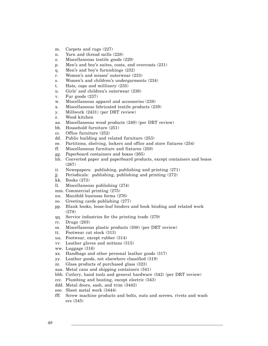- m. Carpets and rugs (227)
- n. Yarn and thread mills (228)
- o. Miscellaneous textile goods (229)
- p. Men's and boy's suites, coats, and overcoats (231)
- q. Men's and boy's furnishings (232)
- r. Women's and misses' outerwear (233)
- s. Women's and children's undergarments (234)
- t. Hats, caps and millinery (235)
- u. Girls' and children's outerwear (236)
- v. Fur goods (237)
- w. Miscellaneous apparel and accessories (238)
- x. Miscellaneous fabricated textile products (239)
- y. Millwork (2431) (per DRT review)
- z. Wood kitchen
- aa. Miscellaneous wood products (249) (per DRT review)
- bb. Household furniture (251)
- cc. Office furniture (252)
- dd. Public building and related furniture (253)
- ee. Partitions, shelving, lockers and office and store fixtures (254)
- ff. Miscellaneous furniture and fixtures (259)
- gg. Paperboard containers and boxes (265)
- hh. Converted paper and paperboard products, except containers and boxes (267)
- ii. Newspapers: publishing, publishing and printing (271)
- jj. Periodicals: publishing, publishing and printing (272)
- kk. Books (273)
- ll. Miscellaneous publishing (274)
- mm. Commercial printing (275)
- nn. Manifold business forms (276)
- oo. Greeting cards publishing (277)
- pp. Blank books, loose-leaf binders and book binding and related work (278)
- qq. Service industries for the printing trade (279)
- rr. Drugs (283)
- ss. Miscellaneous plastic products (308) (per DRT review)
- tt. Footwear cut stock (313)
- uu. Footwear, except rubber (314)
- vv. Leather gloves and mittens (315)
- ww. Luggage (316)
- xx. Handbags and other personal leather goods (317)
- yy. Leather goods, not elsewhere classified (319)
- zz. Glass products of purchased glass (323)
- aaa. Metal cans and shipping containers (341)
- bbb. Cutlery, hand tools and general hardware (342) (per DRT review)
- ccc. Plumbing and heating, except electric (343)
- ddd. Metal doors, sash, and trim (3442)
- eee. Sheet metal work (3444)
- fff. Screw machine products and bolts, nuts and screws, rivets and wash ers (345)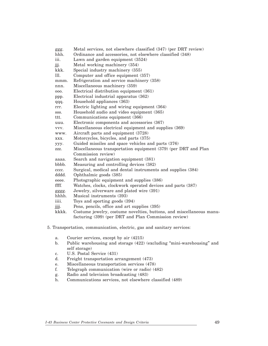| ggg.  | Metal services, not elsewhere classified (347) (per DRT review)      |
|-------|----------------------------------------------------------------------|
| hhh.  | Ordinance and accessories, not elsewhere classified (348)            |
| iii.  | Lawn and garden equipment (3524)                                     |
| jjj.  | Metal working machinery (354)                                        |
| kkk.  | Special industry machinery (355)                                     |
| Ш.    | Computer and office equipment (357)                                  |
| mmm.  | Refrigeration and service machinery (358)                            |
| nnn.  | Miscellaneous machinery (359)                                        |
| 000.  | Electrical distribution equipment (361)                              |
| ppp.  | Electrical industrial apparatus (362)                                |
| qqq.  | Household appliances (363)                                           |
| rrr.  | Electric lighting and wiring equipment (364)                         |
| SSS.  | Household audio and video equipment (365)                            |
| ttt.  | Communications equipment (366)                                       |
| uuu.  | Electronic components and accessories (367)                          |
| vvv.  | Miscellaneous electrical equipment and supplies (369)                |
| www.  | Aircraft parts and equipment (3728)                                  |
| XXX.  | Motorcycles, bicycles, and parts (375)                               |
| yyy.  | Guided missiles and space vehicles and parts (376)                   |
| ZZZ.  | Miscellaneous transportation equipment (379) (per DRT and Plan       |
|       | Commission review)                                                   |
| aaaa. | Search and navigation equipment (381)                                |
| bbbb. | Measuring and controlling devices (382)                              |
| cccc. | Surgical, medical and dental instruments and supplies (384)          |
| dddd. | Ophthalmic goods (385)                                               |
| eeee. | Photographic equipment and supplies (386)                            |
| ffff. | Watches, clocks, clockwork operated devices and parts (387)          |
| gggg. | Jewelry, silverware and plated wire (391)                            |
| hhhh. | Musical instruments (393)                                            |
| iiii. | Toys and sporting goods $(394)$                                      |
| jjij. | Pens, pencils, office and art supplies (395)                         |
| kkkk. | Costume jewelry, costume novelties, buttons, and miscellaneous manu- |
|       | facturing (399) (per DRT and Plan Commission review)                 |

- 5. Transportation, communication, electric, gas and sanitary services:
	- a. Courier services, except by air (4215)
	- b. Public warehousing and storage (422) (excluding "mini-warehousing" and self storage)
	- c. U.S. Postal Service (431)
	- d. Freight transportation arrangement (473)
	- e. Miscellaneous transportation services (478)<br>f. Telegraph communication (wire or radio) (4
	- f. Telegraph communication (wire or radio) (482)
	- g. Radio and television broadcasting (483)
	- h. Communications services, not elsewhere classified (489)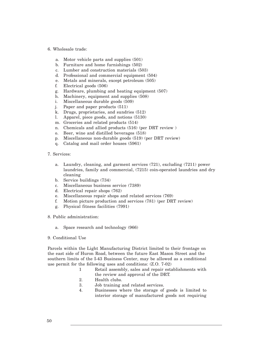#### 6. Wholesale trade:

- a. Motor vehicle parts and supplies (501)
- b. Furniture and home furnishings (502)
- c. Lumber and construction materials (503)
- d. Professional and commercial equipment (504)
- e. Metals and minerals, except petroleum (505)
- f. Electrical goods (506)
- g. Hardware, plumbing and heating equipment (507)
- h. Machinery, equipment and supplies (508)
- i. Miscellaneous durable goods (509)
- j. Paper and paper products (511)
- k. Drugs, proprietaries, and sundries (512)
- l. Apparel, piece goods, and notions (5130)
- m. Groceries and related products (514)
- n. Chemicals and allied products (516) (per DRT review )
- o. Beer, wine and distilled beverages (518)
- p. Miscellaneous non-durable goods (519) (per DRT review)
- q. Catalog and mail order houses (5961)
- 7. Services:
	- a. Laundry, cleaning, and garment services (721), excluding (7211) power laundries, family and commercial, (7215) coin-operated laundries and dry cleaning
	- b. Service buildings (734)
	- c. Miscellaneous business service (7389)
	- d. Electrical repair shops (762)
	- e. Miscellaneous repair shops and related services (769)
	- f. Motion picture production and services (781) (per DRT review)
	- g. Physical fitness facilities (7991)
- 8. Public administration:
	- a. Space research and technology (966)
- 9. Conditional Use

Parcels within the Light Manufacturing District limited to their frontage on the east side of Huron Road, between the future East Mason Street and the southern limits of the I-43 Business Center, may be allowed as a conditional use permit for the following uses and conditions: (Z.O. 7-02)

- 1 Retail assembly, sales and repair establishments with the review and approval of the DRT.
- 2. Health clubs.
- 3. Job training and related services.
- 4. Businesses where the storage of goods is limited to interior storage of manufactured goods not requiring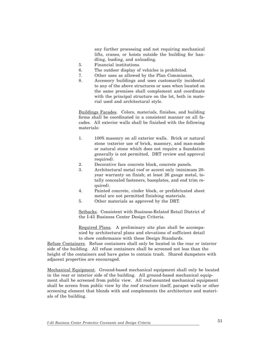any further processing and not requiring mechanical lifts, cranes, or hoists outside the building for handling, loading, and unloading.

- 5. Financial institutions.
- 6. The outdoor display of vehicles is prohibited.
- 7. Other uses as allowed by the Plan Commission.
- 8. Accessory buildings and uses customarily incidental to any of the above structures or uses when located on the same premises shall complement and coordinate with the principal structure on the lot, both in material used and architectural style.

Buildings Facades. Colors, materials, finishes, and building forms shall be coordinated in a consistent manner on all facades. All exterior walls shall be finished with the following materials:

- 1. 100% masonry on all exterior walls. Brick or natural stone (exterior use of brick, masonry, and man-made or natural stone which does not require a foundation generally is not permitted, DRT review and approval required).
- 2. Decorative face concrete block, concrete panels.
- 3. Architectural metal roof or accent only (minimum 20 year warranty on finish; at least 26 gauge metal, totally concealed fasteners, baseplates, and end trim required).
- 4. Painted concrete, cinder block, or prefabricated sheet metal are not permitted finishing materials.
- 5. Other materials as approved by the DRT.

Setbacks. Consistent with Business-Related Retail District of the I-43 Business Center Design Criteria.

Required Plans. A preliminary site plan shall be accompanied by architectural plans and elevations of sufficient detail to show conformance with these Design Standards.

Refuse Containers. Refuse containers shall only be located in the rear or interior side of the building. All refuse containers shall be screened not less than the height of the containers and have gates to contain trash. Shared dumpsters with adjacent properties are encouraged.

Mechanical Equipment. Ground-based mechanical equipment shall only be located in the rear or interior side of the building. All ground-based mechanical equipment shall be screened from public view. All roof-mounted mechanical equipment shall be screen from public view by the roof structure itself, parapet walls or other screening element that blends with and complements the architecture and materials of the building.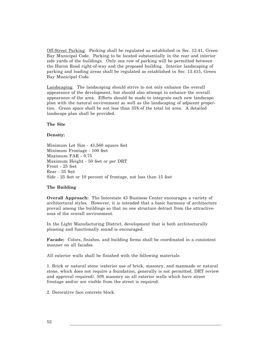Off-Street Parking. Parking shall be regulated as established in Sec. 13.41, Green Bay Municipal Code. Parking to be located substantially in the rear and interior side yards of the buildings. Only one row of parking will be permitted between the Huron Road right-of-way and the proposed building. Interior landscaping of parking and loading areas shall be regulated as established in Sec. 13.415, Green Bay Municipal Code.

Landscaping. The landscaping should strive to not only enhance the overall appearance of the development, but should also attempt to enhance the overall appearance of the area. Efforts should be made to integrate each new landscape plan with the natural environment as well as the landscaping of adjacent properties. Green space shall be not less than 35% of the total lot area. A detailed landscape plan shall be provided.

#### **The Site**

#### **Density:**

Minimum Lot Size - 43,560 square feet Minimum Frontage - 100 feet Maximum FAR - 0.75 Maximum Height - 50 feet or per DRT Front - 25 feet Rear - 25 feet Side - 25 feet or 10 percent of frontage, not less than 15 feet

#### **The Building**

**Overall Approach:** The Interstate 43 Business Center encourages a variety of architectural styles. However, it is intended that a basic harmony of architecture prevail among the buildings so that no one structure detract from the attractiveness of the overall environment.

In the Light Manufacturing District, development that is both architecturally pleasing and functionally sound is encouraged.

**Facade:** Colors, finishes, and building forms shall be coordinated in a consistent manner on all facades.

All exterior walls shall be finished with the following materials:

1. Brick or natural stone (exterior use of brick, masonry, and manmade or natural stone, which does not require a foundation, generally is not permitted, DRT review and approval required). 50% masonry on all exterior walls which have street frontage and/or are visible from the street is required.

2. Decorative face concrete block.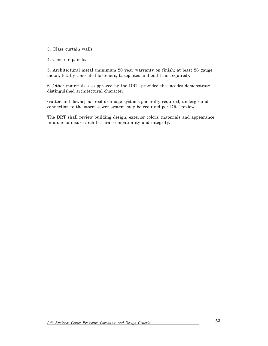3. Glass curtain walls.

4. Concrete panels.

5. Architectural metal (minimum 20 year warranty on finish; at least 26 gauge metal, totally concealed fasteners, baseplates and end trim required).

6. Other materials, as approved by the DRT, provided the facades demonstrate distinguished architectural character.

Gutter and downspout roof drainage systems generally required; underground connection to the storm sewer system may be required per DRT review.

The DRT shall review building design, exterior colors, materials and appearance in order to insure architectural compatibility and integrity.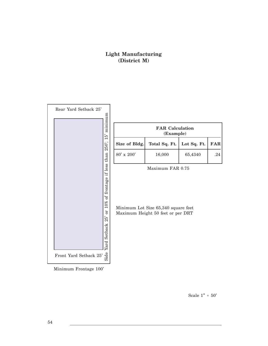## **Light Manufacturing (District M)**



Minimum Frontage 100'

Scale  $1"$  =  $50"$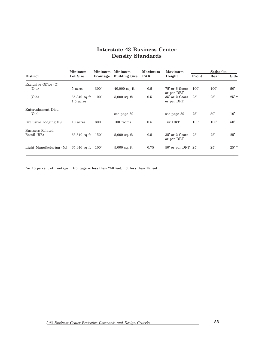## **Interstate 43 Business Center Density Standards**

|                                 | Minimum<br>Lot Size           | Minimum       | Minimum<br>Frontage Building Size | Maximum<br><b>FAR</b> | <b>Maximum</b><br>Height      | <b>Setbacks</b> |      |         |
|---------------------------------|-------------------------------|---------------|-----------------------------------|-----------------------|-------------------------------|-----------------|------|---------|
| <b>District</b>                 |                               |               |                                   |                       |                               | Front           | Rear | Side    |
| Exclusive Office $(0)$          |                               |               |                                   |                       |                               |                 |      |         |
| $(O-a)$                         | 5 acres                       | 300'          | $40,000$ sq. ft.                  | 0.5                   | 75' or 6 floors<br>or per DRT | 100'            | 100' | 50'     |
| $(O-b)$                         | $65,340$ sq ft<br>$1.5$ acres | 100'          | $5,000$ sq. ft.                   | 0.5                   | 35' or 2 floors<br>or per DRT | 25'             | 25'  | $25'$ * |
| Entertainment Dist.             |                               |               |                                   |                       |                               |                 |      |         |
| $(O-e)$                         |                               |               | see page 39                       |                       | see page 39                   | 25'             | 50'  | 10'     |
| Exclusive Lodging $(L)$         | 10 acres                      | 300'          | $100$ rooms                       | 0.5                   | Per DRT                       | 100'            | 100' | 50'     |
| Business Related<br>Retail (BR) | $65,340$ sq ft                | $150^{\circ}$ | $5,000$ sq. ft.                   | 0.5                   | 35' or 2 floors<br>or per DRT | 25'             | 25'  | 25'     |
| Light Manufacturing $(M)$       | $65,340$ sq ft                | 100'          | $5,000$ sq. ft.                   | 0.75                  | $50'$ or per DRT $25'$        |                 | 25'  | $25' *$ |

\*or 10 percent of frontage if frontage is less than 250 feet, not less than 15 feet

*I-43 Business Center Protective Covenants and Design Criteria*